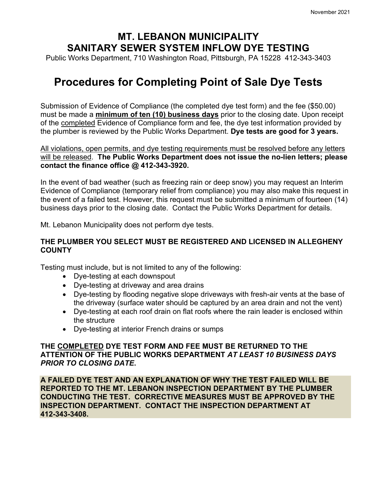## **MT. LEBANON MUNICIPALITY SANITARY SEWER SYSTEM INFLOW DYE TESTING**

Public Works Department, 710 Washington Road, Pittsburgh, PA 15228 412-343-3403

# **Procedures for Completing Point of Sale Dye Tests**

Submission of Evidence of Compliance (the completed dye test form) and the fee (\$50.00) must be made a **minimum of ten (10) business days** prior to the closing date. Upon receipt of the completed Evidence of Compliance form and fee, the dye test information provided by the plumber is reviewed by the Public Works Department. **Dye tests are good for 3 years.**

All violations, open permits, and dye testing requirements must be resolved before any letters will be released. **The Public Works Department does not issue the no-lien letters; please contact the finance office @ 412-343-3920.**

In the event of bad weather (such as freezing rain or deep snow) you may request an Interim Evidence of Compliance (temporary relief from compliance) you may also make this request in the event of a failed test. However, this request must be submitted a minimum of fourteen (14) business days prior to the closing date. Contact the Public Works Department for details.

Mt. Lebanon Municipality does not perform dye tests.

#### **THE PLUMBER YOU SELECT MUST BE REGISTERED AND LICENSED IN ALLEGHENY COUNTY**

Testing must include, but is not limited to any of the following:

- Dye-testing at each downspout
- Dye-testing at driveway and area drains
- Dye-testing by flooding negative slope driveways with fresh-air vents at the base of the driveway (surface water should be captured by an area drain and not the vent)
- Dye-testing at each roof drain on flat roofs where the rain leader is enclosed within the structure
- Dye-testing at interior French drains or sumps

#### **THE COMPLETED DYE TEST FORM AND FEE MUST BE RETURNED TO THE ATTENTION OF THE PUBLIC WORKS DEPARTMENT** *AT LEAST 10 BUSINESS DAYS PRIOR TO CLOSING DATE***.**

**A FAILED DYE TEST AND AN EXPLANATION OF WHY THE TEST FAILED WILL BE REPORTED TO THE MT. LEBANON INSPECTION DEPARTMENT BY THE PLUMBER CONDUCTING THE TEST. CORRECTIVE MEASURES MUST BE APPROVED BY THE INSPECTION DEPARTMENT. CONTACT THE INSPECTION DEPARTMENT AT 412-343-3408.**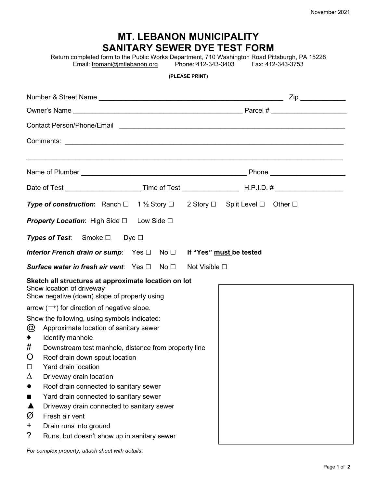| <b>MT. LEBANON MUNICIPALITY</b><br><b>SANITARY SEWER DYE TEST FORM</b><br>Return completed form to the Public Works Department, 710 Washington Road Pittsburgh, PA 15228<br>Phone: 412-343-3403    Fax: 412-343-3753<br>Email: tromani@mtlebanon.org |                                                                                                             |                                                                                                                      |  |
|------------------------------------------------------------------------------------------------------------------------------------------------------------------------------------------------------------------------------------------------------|-------------------------------------------------------------------------------------------------------------|----------------------------------------------------------------------------------------------------------------------|--|
| (PLEASE PRINT)                                                                                                                                                                                                                                       |                                                                                                             |                                                                                                                      |  |
|                                                                                                                                                                                                                                                      |                                                                                                             |                                                                                                                      |  |
|                                                                                                                                                                                                                                                      |                                                                                                             |                                                                                                                      |  |
|                                                                                                                                                                                                                                                      | <b>Contact Person/Phone/Email</b>                                                                           | <u> Alexandria de la contrada de la contrada de la contrada de la contrada de la contrada de la contrada de la c</u> |  |
|                                                                                                                                                                                                                                                      |                                                                                                             |                                                                                                                      |  |
|                                                                                                                                                                                                                                                      |                                                                                                             |                                                                                                                      |  |
|                                                                                                                                                                                                                                                      |                                                                                                             |                                                                                                                      |  |
|                                                                                                                                                                                                                                                      |                                                                                                             |                                                                                                                      |  |
|                                                                                                                                                                                                                                                      |                                                                                                             |                                                                                                                      |  |
|                                                                                                                                                                                                                                                      | <b>Type of construction:</b> Ranch $\Box$ 1 1/2 Story $\Box$ 2 Story $\Box$ Split Level $\Box$ Other $\Box$ |                                                                                                                      |  |
| <b>Property Location:</b> High Side $\Box$ Low Side $\Box$                                                                                                                                                                                           |                                                                                                             |                                                                                                                      |  |
| <b>Types of Test:</b> Smoke $\Box$ Dye $\Box$                                                                                                                                                                                                        |                                                                                                             |                                                                                                                      |  |
| Interior French drain or sump: Yes □ No □ If "Yes" must be tested                                                                                                                                                                                    |                                                                                                             |                                                                                                                      |  |
| <b>Surface water in fresh air vent:</b> Yes $\Box$ No $\Box$<br>Not Visible □                                                                                                                                                                        |                                                                                                             |                                                                                                                      |  |
| Sketch all structures at approximate location on lot<br>Show location of driveway<br>Show negative (down) slope of property using                                                                                                                    |                                                                                                             |                                                                                                                      |  |
| arrow $(\rightarrow)$ for direction of negative slope.                                                                                                                                                                                               |                                                                                                             |                                                                                                                      |  |
| Show the following, using symbols indicated:                                                                                                                                                                                                         |                                                                                                             |                                                                                                                      |  |
| @                                                                                                                                                                                                                                                    | Approximate location of sanitary sewer                                                                      |                                                                                                                      |  |
|                                                                                                                                                                                                                                                      | Identify manhole                                                                                            |                                                                                                                      |  |
| #                                                                                                                                                                                                                                                    | Downstream test manhole, distance from property line                                                        |                                                                                                                      |  |
| Ő                                                                                                                                                                                                                                                    | Roof drain down spout location                                                                              |                                                                                                                      |  |
| $\Box$                                                                                                                                                                                                                                               | Yard drain location                                                                                         |                                                                                                                      |  |
| Δ                                                                                                                                                                                                                                                    | Driveway drain location                                                                                     |                                                                                                                      |  |
| ●                                                                                                                                                                                                                                                    | Roof drain connected to sanitary sewer                                                                      |                                                                                                                      |  |
| ш                                                                                                                                                                                                                                                    | Yard drain connected to sanitary sewer                                                                      |                                                                                                                      |  |
|                                                                                                                                                                                                                                                      | Driveway drain connected to sanitary sewer                                                                  |                                                                                                                      |  |
| Ø                                                                                                                                                                                                                                                    | Fresh air vent                                                                                              |                                                                                                                      |  |
| +                                                                                                                                                                                                                                                    | Drain runs into ground                                                                                      |                                                                                                                      |  |
| ?                                                                                                                                                                                                                                                    | Runs, but doesn't show up in sanitary sewer                                                                 |                                                                                                                      |  |

*For complex property, attach sheet with details*.